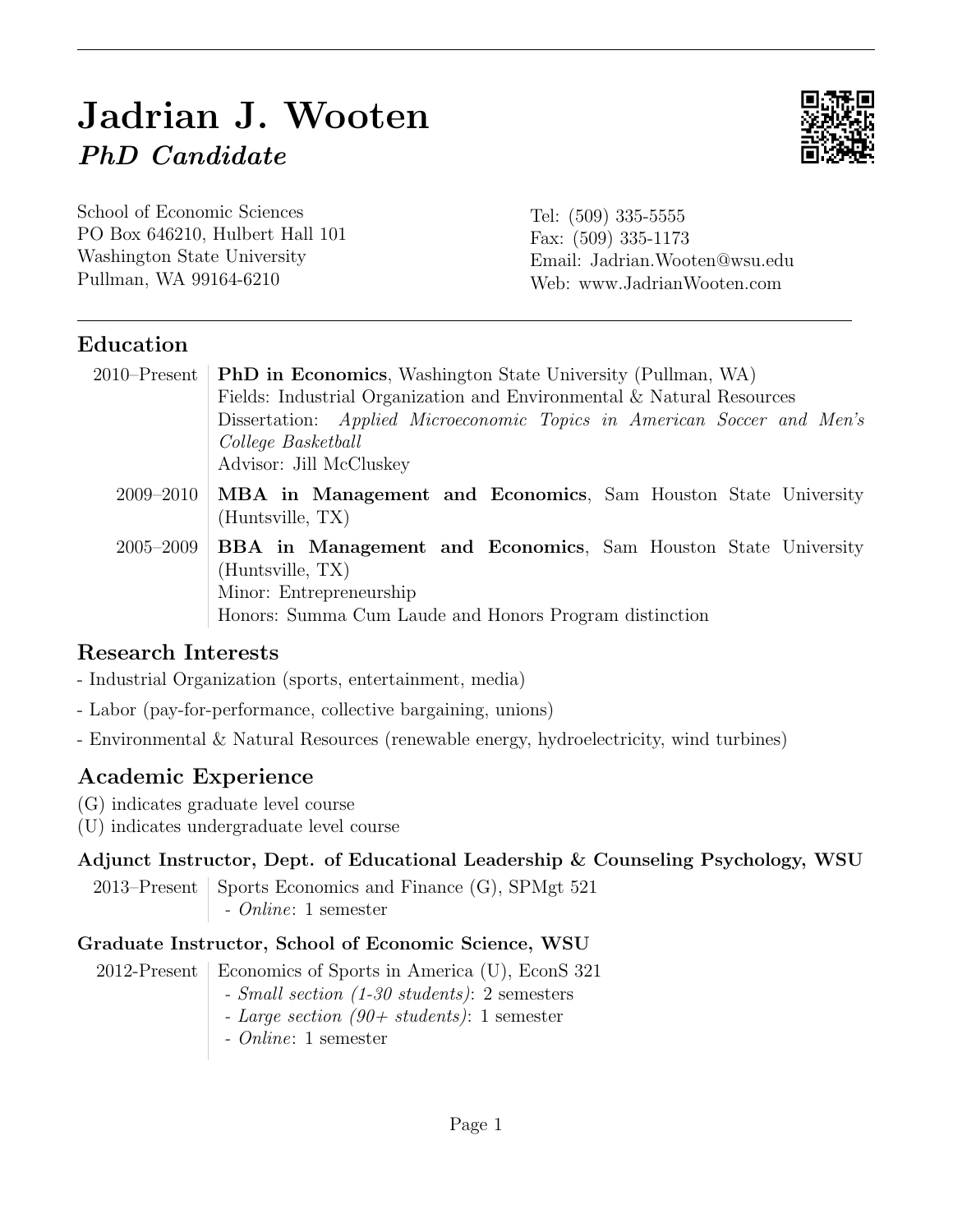# Jadrian J. Wooten PhD Candidate



School of Economic Sciences PO Box 646210, Hulbert Hall 101 Washington State University Pullman, WA 99164-6210

Tel: (509) 335-5555 Fax: (509) 335-1173 Email: Jadrian.Wooten@wsu.edu Web: www.JadrianWooten.com

#### Education

| $2010$ -Present | <b>PhD in Economics</b> , Washington State University (Pullman, WA)                      |
|-----------------|------------------------------------------------------------------------------------------|
|                 | Fields: Industrial Organization and Environmental & Natural Resources                    |
|                 | Dissertation: Applied Microeconomic Topics in American Soccer and Men's                  |
|                 | College Basketball                                                                       |
|                 | Advisor: Jill McCluskey                                                                  |
| $2009 - 2010$   | MBA in Management and Economics, Sam Houston State University<br>(Huntsville, TX)        |
| $2005 - 2009$   | <b>BBA</b> in Management and Economics, Sam Houston State University<br>(Huntsville, TX) |
|                 | Minor: Entrepreneurship                                                                  |
|                 | Honors: Summa Cum Laude and Honors Program distinction                                   |

#### Research Interests

- Industrial Organization (sports, entertainment, media)
- Labor (pay-for-performance, collective bargaining, unions)
- Environmental & Natural Resources (renewable energy, hydroelectricity, wind turbines)

# Academic Experience

- (G) indicates graduate level course
- (U) indicates undergraduate level course

#### Adjunct Instructor, Dept. of Educational Leadership & Counseling Psychology, WSU

2013–Present Sports Economics and Finance  $(G)$ , SPMgt 521 - Online: 1 semester

#### Graduate Instructor, School of Economic Science, WSU

#### 2012-Present | Economics of Sports in America (U), EconS 321

- Small section (1-30 students): 2 semesters
- Large section (90+ students): 1 semester
- Online: 1 semester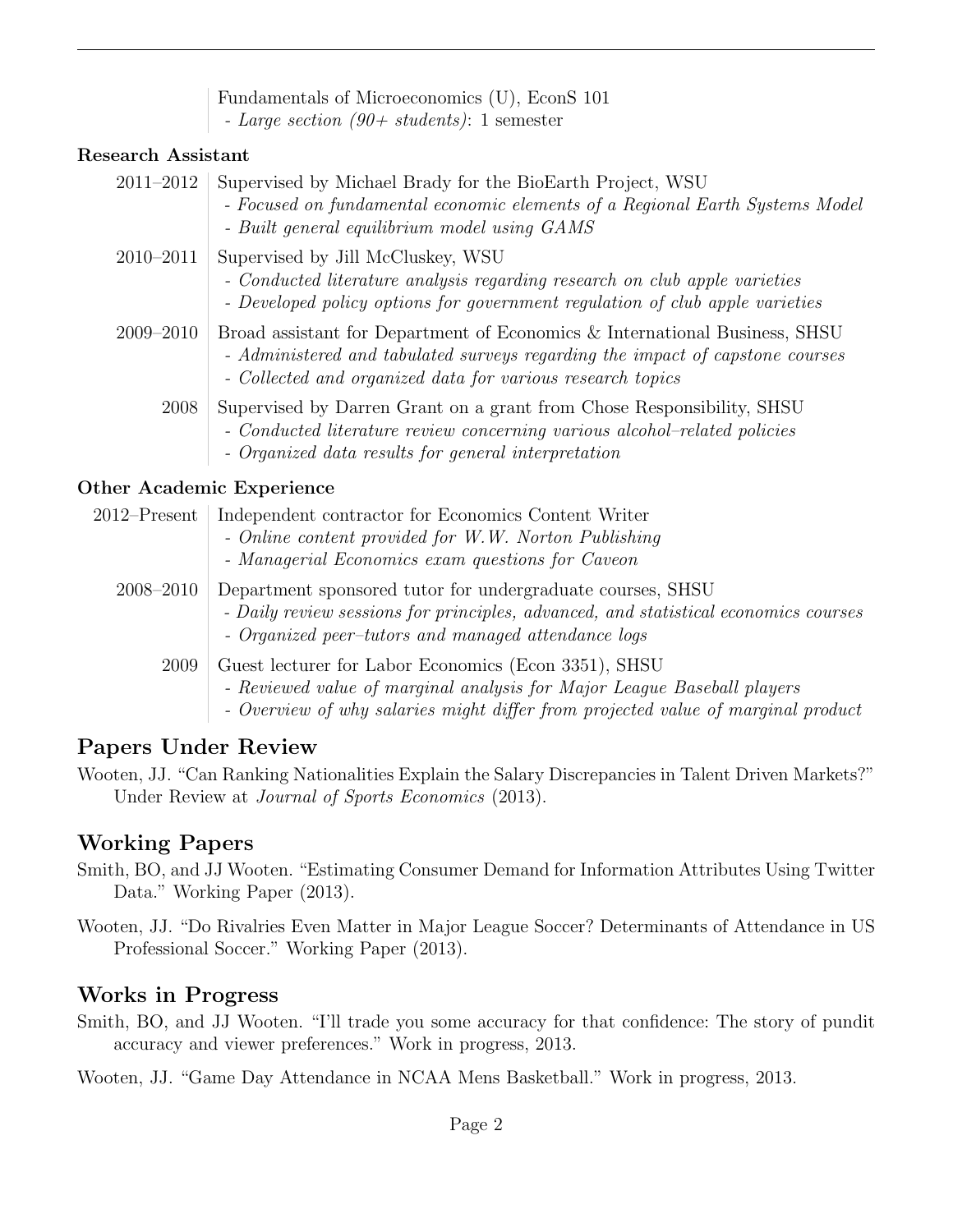|                                  | Fundamentals of Microeconomics (U), EconS 101<br>- Large section $(90 + students)$ : 1 semester                                                                                                                           |
|----------------------------------|---------------------------------------------------------------------------------------------------------------------------------------------------------------------------------------------------------------------------|
| <b>Research Assistant</b>        |                                                                                                                                                                                                                           |
| 2011-2012                        | Supervised by Michael Brady for the BioEarth Project, WSU<br>- Focused on fundamental economic elements of a Regional Earth Systems Model<br>- Built general equilibrium model using GAMS                                 |
| $2010 - 2011$                    | Supervised by Jill McCluskey, WSU<br>- Conducted literature analysis regarding research on club apple varieties<br>- Developed policy options for government regulation of club apple varieties                           |
| 2009-2010                        | Broad assistant for Department of Economics & International Business, SHSU<br>- Administered and tabulated surveys regarding the impact of capstone courses<br>- Collected and organized data for various research topics |
| 2008                             | Supervised by Darren Grant on a grant from Chose Responsibility, SHSU<br>- Conducted literature review concerning various alcohol-related policies<br>- Organized data results for general interpretation                 |
| <b>Other Academic Experience</b> |                                                                                                                                                                                                                           |
| $2012$ -Present                  | Independent contractor for Economics Content Writer<br>- Online content provided for W.W. Norton Publishing<br>- Managerial Economics exam questions for Caveon                                                           |
| 2008-2010                        | Department sponsored tutor for undergraduate courses, SHSU<br>- Daily review sessions for principles, advanced, and statistical economics courses<br>- Organized peer-tutors and managed attendance logs                  |
| 2009                             | Guest lecturer for Labor Economics (Econ 3351), SHSU<br>- Reviewed value of marginal analysis for Major League Baseball players<br>- Overview of why salaries might differ from projected value of marginal product       |

#### Papers Under Review

Wooten, JJ. "Can Ranking Nationalities Explain the Salary Discrepancies in Talent Driven Markets?" Under Review at Journal of Sports Economics (2013).

#### Working Papers

- Smith, BO, and JJ Wooten. "Estimating Consumer Demand for Information Attributes Using Twitter Data." Working Paper (2013).
- Wooten, JJ. "Do Rivalries Even Matter in Major League Soccer? Determinants of Attendance in US Professional Soccer." Working Paper (2013).

# Works in Progress

Smith, BO, and JJ Wooten. "I'll trade you some accuracy for that confidence: The story of pundit accuracy and viewer preferences." Work in progress, 2013.

Wooten, JJ. "Game Day Attendance in NCAA Mens Basketball." Work in progress, 2013.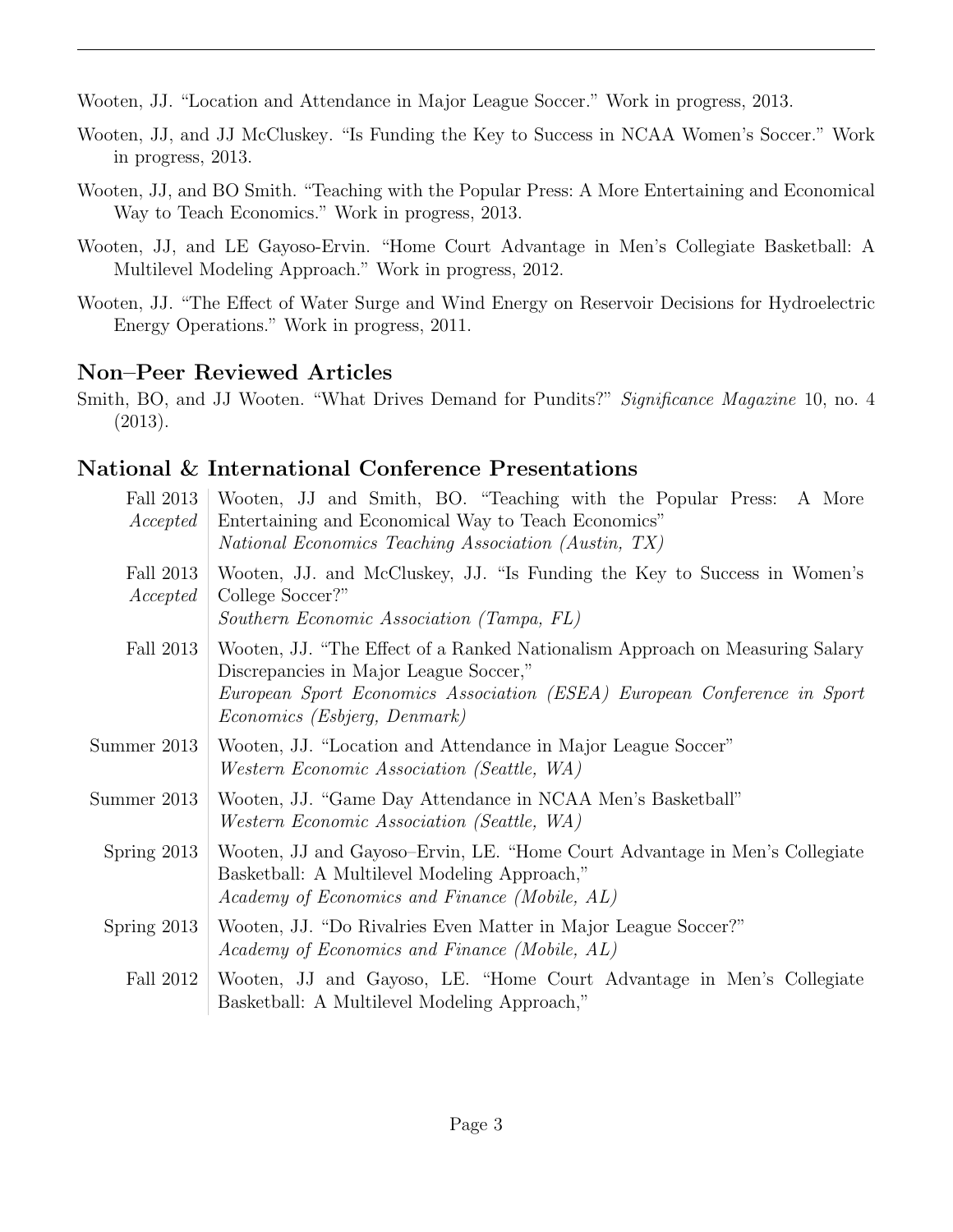Wooten, JJ. "Location and Attendance in Major League Soccer." Work in progress, 2013.

- Wooten, JJ, and JJ McCluskey. "Is Funding the Key to Success in NCAA Women's Soccer." Work in progress, 2013.
- Wooten, JJ, and BO Smith. "Teaching with the Popular Press: A More Entertaining and Economical Way to Teach Economics." Work in progress, 2013.
- Wooten, JJ, and LE Gayoso-Ervin. "Home Court Advantage in Men's Collegiate Basketball: A Multilevel Modeling Approach." Work in progress, 2012.
- Wooten, JJ. "The Effect of Water Surge and Wind Energy on Reservoir Decisions for Hydroelectric Energy Operations." Work in progress, 2011.

#### Non–Peer Reviewed Articles

Smith, BO, and JJ Wooten. "What Drives Demand for Pundits?" Significance Magazine 10, no. 4 (2013).

#### National & International Conference Presentations

| Fall 2013<br>Accepted | Wooten, JJ and Smith, BO. "Teaching with the Popular Press: A More<br>Entertaining and Economical Way to Teach Economics"<br>National Economics Teaching Association (Austin, TX)                                                          |
|-----------------------|--------------------------------------------------------------------------------------------------------------------------------------------------------------------------------------------------------------------------------------------|
| Fall 2013<br>Accepted | Wooten, JJ. and McCluskey, JJ. "Is Funding the Key to Success in Women's<br>College Soccer?"<br>Southern Economic Association (Tampa, FL)                                                                                                  |
| Fall 2013             | Wooten, J.J. "The Effect of a Ranked Nationalism Approach on Measuring Salary<br>Discrepancies in Major League Soccer,"<br>European Sport Economics Association (ESEA) European Conference in Sport<br><i>Economics (Esbjerg, Denmark)</i> |
| Summer 2013           | Wooten, J.J. "Location and Attendance in Major League Soccer"<br><i>Western Economic Association (Seattle, WA)</i>                                                                                                                         |
| Summer 2013           | Wooten, J.J. "Game Day Attendance in NCAA Men's Basketball"<br><i>Western Economic Association (Seattle, WA)</i>                                                                                                                           |
| Spring $2013$         | Wooten, JJ and Gayoso-Ervin, LE. "Home Court Advantage in Men's Collegiate<br>Basketball: A Multilevel Modeling Approach,"<br>Academy of Economics and Finance (Mobile, AL)                                                                |
| Spring $2013$         | Wooten, J.J. "Do Rivalries Even Matter in Major League Soccer?"<br>Academy of Economics and Finance (Mobile, AL)                                                                                                                           |
| Fall 2012             | Wooten, JJ and Gayoso, LE. "Home Court Advantage in Men's Collegiate<br>Basketball: A Multilevel Modeling Approach,"                                                                                                                       |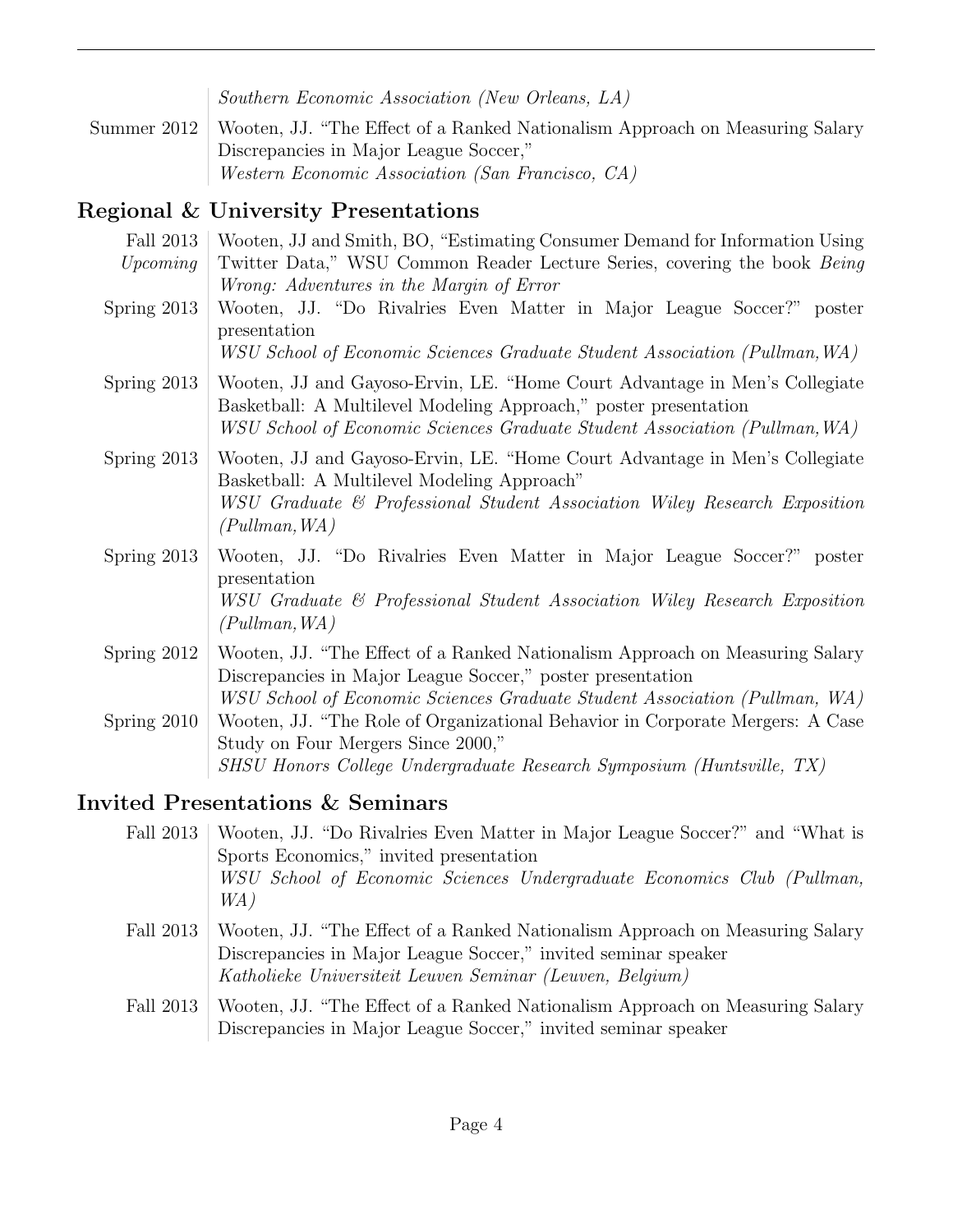Southern Economic Association (New Orleans, LA)

Summer 2012 Wooten, JJ. "The Effect of a Ranked Nationalism Approach on Measuring Salary Discrepancies in Major League Soccer," Western Economic Association (San Francisco, CA)

# Regional & University Presentations

| Fall 2013     | Wooten, JJ and Smith, BO, "Estimating Consumer Demand for Information Using    |
|---------------|--------------------------------------------------------------------------------|
| Upcoming      | Twitter Data," WSU Common Reader Lecture Series, covering the book Being       |
|               | Wrong: Adventures in the Margin of Error                                       |
| Spring 2013   | Wooten, J.J. "Do Rivalries Even Matter in Major League Soccer?" poster         |
|               | presentation                                                                   |
|               | WSU School of Economic Sciences Graduate Student Association (Pullman, WA)     |
| Spring $2013$ | Wooten, JJ and Gayoso-Ervin, LE. "Home Court Advantage in Men's Collegiate     |
|               | Basketball: A Multilevel Modeling Approach," poster presentation               |
|               | WSU School of Economic Sciences Graduate Student Association (Pullman, WA)     |
| Spring $2013$ | Wooten, JJ and Gayoso-Ervin, LE. "Home Court Advantage in Men's Collegiate     |
|               | Basketball: A Multilevel Modeling Approach"                                    |
|               | WSU Graduate & Professional Student Association Wiley Research Exposition      |
|               | (Pullman, WA)                                                                  |
| Spring 2013   | Wooten, J.J. "Do Rivalries Even Matter in Major League Soccer?" poster         |
|               | presentation                                                                   |
|               | WSU Graduate & Professional Student Association Wiley Research Exposition      |
|               | (Pullman, WA)                                                                  |
| Spring 2012   | Wooten, J.J. "The Effect of a Ranked Nationalism Approach on Measuring Salary  |
|               | Discrepancies in Major League Soccer," poster presentation                     |
|               | WSU School of Economic Sciences Graduate Student Association (Pullman, WA)     |
| Spring 2010   | Wooten, J.J. "The Role of Organizational Behavior in Corporate Mergers: A Case |
|               | Study on Four Mergers Since 2000,"                                             |
|               | SHSU Honors College Undergraduate Research Symposium (Huntsville, TX)          |

# Invited Presentations & Seminars

| Fall 2013 | Wooten, J.J. "Do Rivalries Even Matter in Major League Soccer?" and "What is<br>Sports Economics," invited presentation                                                                                     |
|-----------|-------------------------------------------------------------------------------------------------------------------------------------------------------------------------------------------------------------|
|           | WSU School of Economic Sciences Undergraduate Economics Club (Pullman,<br>WA)                                                                                                                               |
| Fall 2013 | Wooten, J.J. "The Effect of a Ranked Nationalism Approach on Measuring Salary<br>Discrepancies in Major League Soccer," invited seminar speaker<br>Katholieke Universiteit Leuven Seminar (Leuven, Belgium) |
| Fall 2013 | Wooten, J.J. "The Effect of a Ranked Nationalism Approach on Measuring Salary<br>Discrepancies in Major League Soccer," invited seminar speaker                                                             |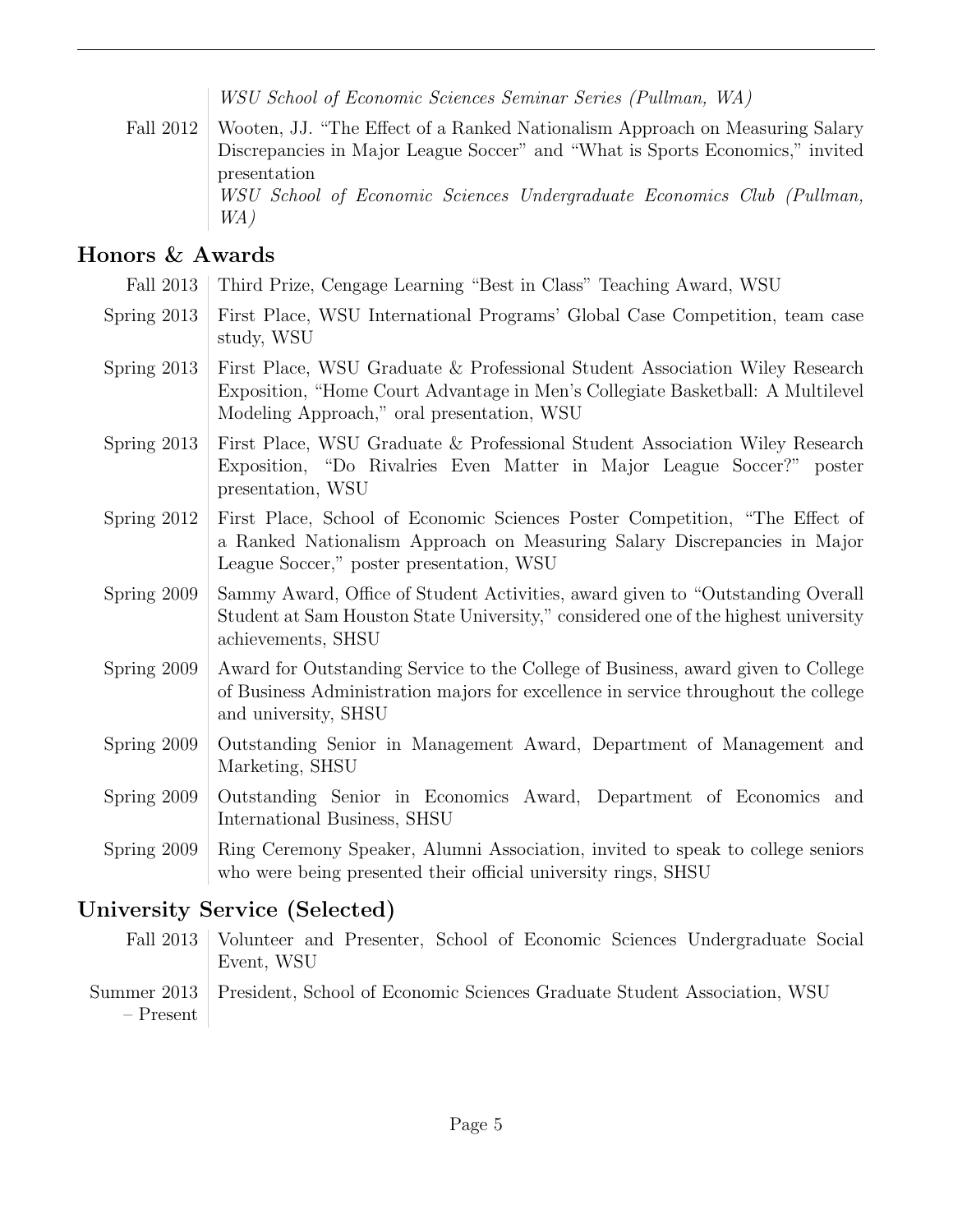WSU School of Economic Sciences Seminar Series (Pullman, WA)

Fall 2012 | Wooten, J.J. "The Effect of a Ranked Nationalism Approach on Measuring Salary Discrepancies in Major League Soccer" and "What is Sports Economics," invited presentation WSU School of Economic Sciences Undergraduate Economics Club (Pullman, WA)

## Honors & Awards

| Fall 2013   | Third Prize, Cengage Learning "Best in Class" Teaching Award, WSU                                                                                                                                           |
|-------------|-------------------------------------------------------------------------------------------------------------------------------------------------------------------------------------------------------------|
| Spring 2013 | First Place, WSU International Programs' Global Case Competition, team case<br>study, WSU                                                                                                                   |
| Spring 2013 | First Place, WSU Graduate & Professional Student Association Wiley Research<br>Exposition, "Home Court Advantage in Men's Collegiate Basketball: A Multilevel<br>Modeling Approach," oral presentation, WSU |
| Spring 2013 | First Place, WSU Graduate & Professional Student Association Wiley Research<br>Exposition, "Do Rivalries Even Matter in Major League Soccer?" poster<br>presentation, WSU                                   |
| Spring 2012 | First Place, School of Economic Sciences Poster Competition, "The Effect of<br>a Ranked Nationalism Approach on Measuring Salary Discrepancies in Major<br>League Soccer," poster presentation, WSU         |
| Spring 2009 | Sammy Award, Office of Student Activities, award given to "Outstanding Overall"<br>Student at Sam Houston State University," considered one of the highest university<br>achievements, SHSU                 |
| Spring 2009 | Award for Outstanding Service to the College of Business, award given to College<br>of Business Administration majors for excellence in service throughout the college<br>and university, SHSU              |
| Spring 2009 | Outstanding Senior in Management Award, Department of Management and<br>Marketing, SHSU                                                                                                                     |
| Spring 2009 | Outstanding Senior in Economics Award, Department of Economics and<br>International Business, SHSU                                                                                                          |
| Spring 2009 | Ring Ceremony Speaker, Alumni Association, invited to speak to college seniors<br>who were being presented their official university rings, SHSU                                                            |
|             |                                                                                                                                                                                                             |

# University Service (Selected)

Fall 2013 | Volunteer and Presenter, School of Economic Sciences Undergraduate Social Event, WSU Summer 2013 – Present President, School of Economic Sciences Graduate Student Association, WSU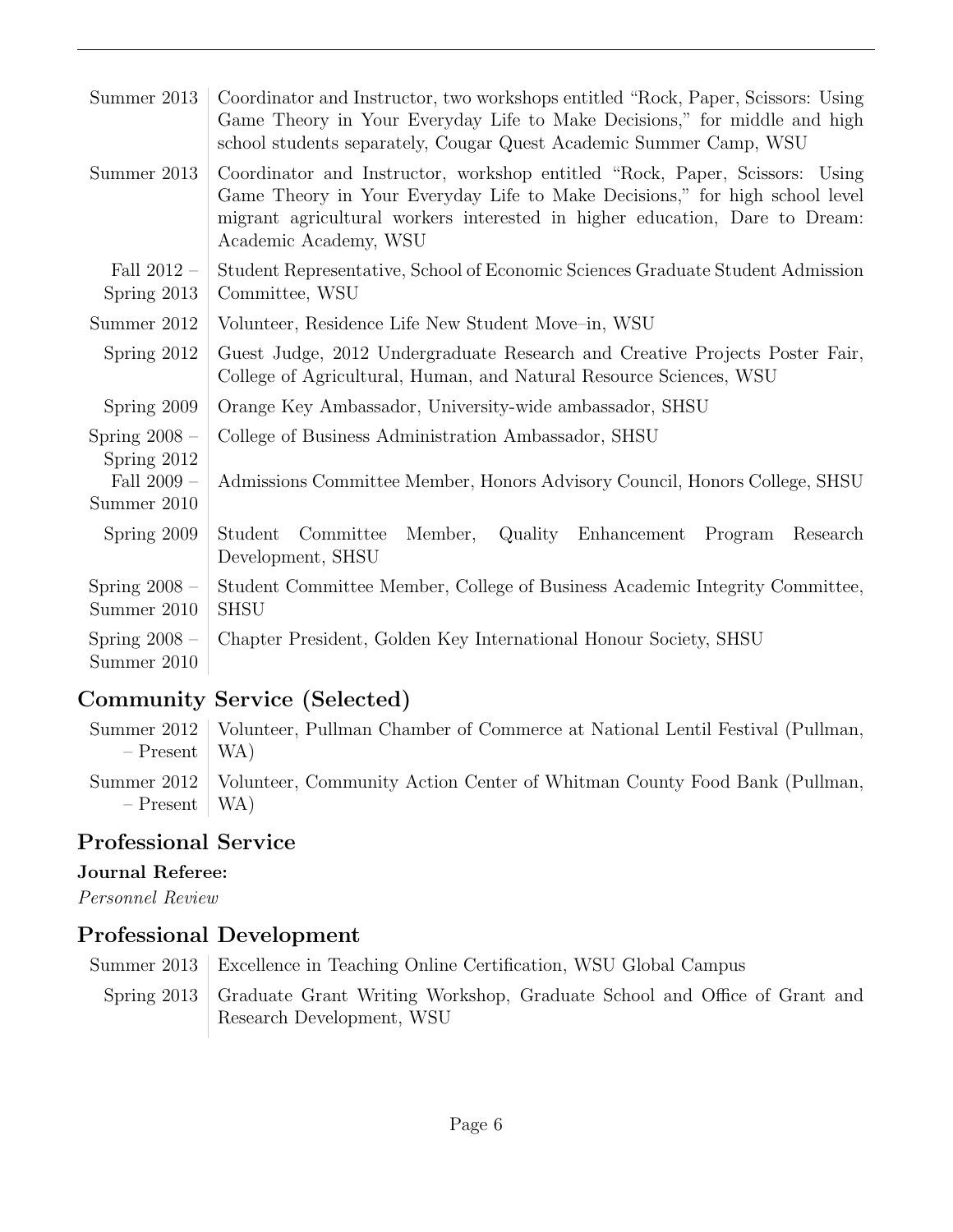| Summer 2013                                | Coordinator and Instructor, two workshops entitled "Rock, Paper, Scissors: Using<br>Game Theory in Your Everyday Life to Make Decisions," for middle and high<br>school students separately, Cougar Quest Academic Summer Camp, WSU                                |
|--------------------------------------------|--------------------------------------------------------------------------------------------------------------------------------------------------------------------------------------------------------------------------------------------------------------------|
| Summer 2013                                | Coordinator and Instructor, workshop entitled "Rock, Paper, Scissors: Using<br>Game Theory in Your Everyday Life to Make Decisions," for high school level<br>migrant agricultural workers interested in higher education, Dare to Dream:<br>Academic Academy, WSU |
| Fall $2012 -$<br>Spring 2013               | Student Representative, School of Economic Sciences Graduate Student Admission<br>Committee, WSU                                                                                                                                                                   |
| Summer 2012                                | Volunteer, Residence Life New Student Move-in, WSU                                                                                                                                                                                                                 |
| Spring 2012                                | Guest Judge, 2012 Undergraduate Research and Creative Projects Poster Fair,<br>College of Agricultural, Human, and Natural Resource Sciences, WSU                                                                                                                  |
| Spring 2009                                | Orange Key Ambassador, University-wide ambassador, SHSU                                                                                                                                                                                                            |
| Spring $2008 -$                            | College of Business Administration Ambassador, SHSU                                                                                                                                                                                                                |
| Spring 2012<br>Fall $2009-$<br>Summer 2010 | Admissions Committee Member, Honors Advisory Council, Honors College, SHSU                                                                                                                                                                                         |
| Spring 2009                                | Quality Enhancement Program<br>Student Committee<br>Member,<br>Research<br>Development, SHSU                                                                                                                                                                       |
| Spring $2008 -$<br>Summer 2010             | Student Committee Member, College of Business Academic Integrity Committee,<br><b>SHSU</b>                                                                                                                                                                         |
| Spring $2008 -$<br>Summer 2010             | Chapter President, Golden Key International Honour Society, SHSU                                                                                                                                                                                                   |

# Community Service (Selected)

| $-$ Present   WA) | Summer 2012   Volunteer, Pullman Chamber of Commerce at National Lentil Festival (Pullman, |
|-------------------|--------------------------------------------------------------------------------------------|
| $-$ Present   WA) | Summer 2012   Volunteer, Community Action Center of Whitman County Food Bank (Pullman,     |

# Professional Service

#### Journal Referee:

Personnel Review

# Professional Development

| Summer 2013   Excellence in Teaching Online Certification, WSU Global Campus                                      |
|-------------------------------------------------------------------------------------------------------------------|
| Spring 2013 Graduate Grant Writing Workshop, Graduate School and Office of Grant and<br>Research Development, WSU |